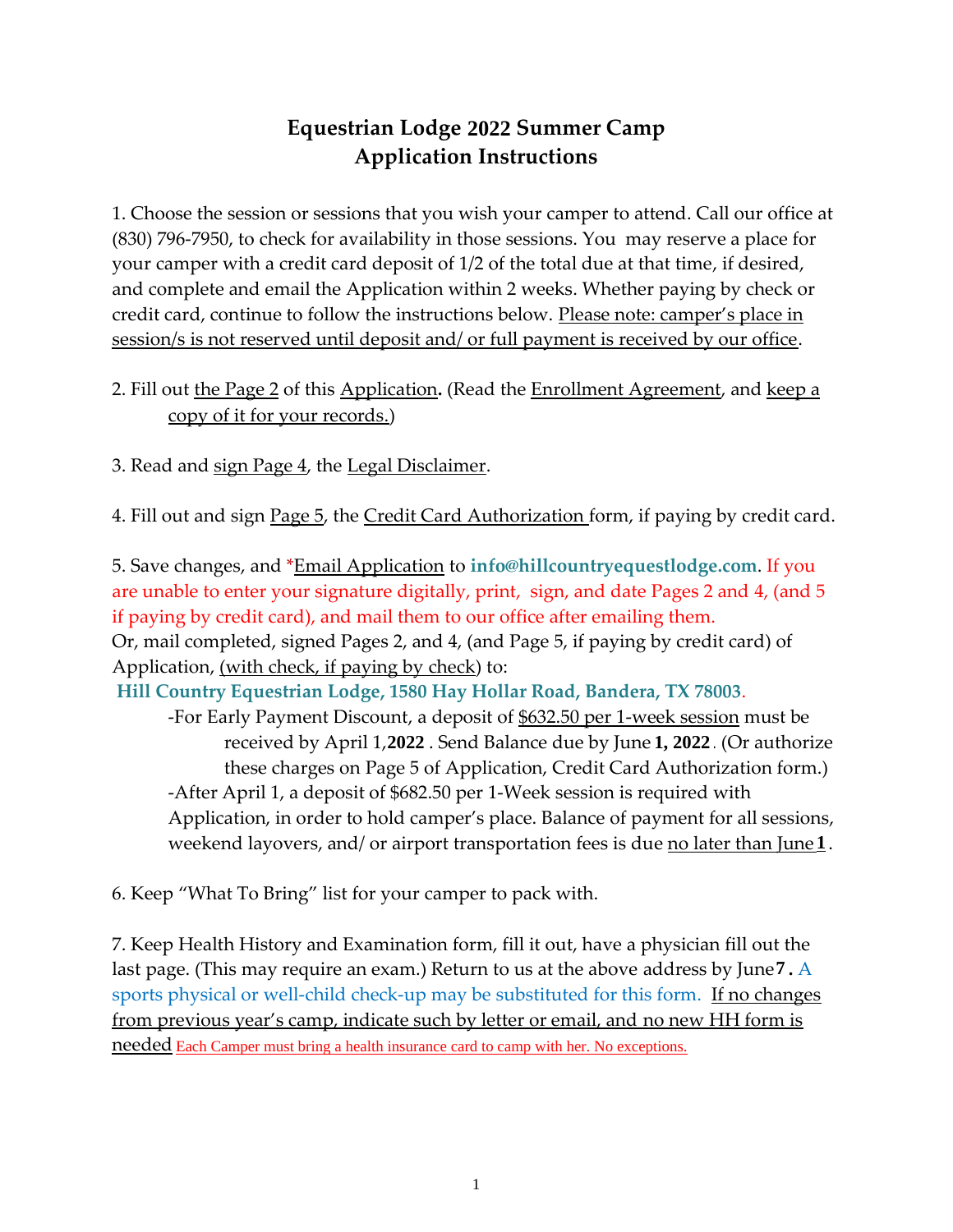# **Equestrian Lodge 2020 Summer Camp 2022 Application Instructions**

1. Choose the session or sessions that you wish your camper to attend. Call our office at (830) 796-7950, to check for availability in those sessions. You may reserve a place for your camper with a credit card deposit of 1/2 of the total due at that time, if desired, and complete and email the Application within 2 weeks. Whether paying by check or credit card, continue to follow the instructions below. Please note: camper's place in session/s is not reserved until deposit and/ or full payment is received by our office.

## 2. Fill out the Page 2 of this Application**.** (Read the Enrollment Agreement, and keep a copy of it for your records.)

3. Read and sign Page 4, the Legal Disclaimer.

4. Fill out and sign Page 5, the Credit Card Authorization form, if paying by credit card.

5. Save changes, and \*Email Application to **info@hillcountryequestlodge.com**. If you are unable to enter your signature digitally, print, sign, and date Pages 2 and 4, (and 5 if paying by credit card), and mail them to our office after emailing them. Or, mail completed, signed Pages 2, and 4, (and Page 5, if paying by credit card) of Application, (with check, if paying by check) to: **Hill Country Equestrian Lodge, 1580 Hay Hollar Road, Bandera, TX 78003**. -For Early Payment Discount, a deposit of \$632.50 per 1-week session must be received by April 1, 2020. Send Balance due by June 1, 2020. (Or authorize **2022 1, 2022** these charges on Page 5 of Application, Credit Card Authorization form.)

-After April 1, a deposit of \$682.50 per 1-Week session is required with Application, in order to hold camper's place. Balance of payment for all sessions, weekend layovers, and/ or airport transportation fees is due <u>no later than June  $\underline{\mathbf{1}}$ </u>.

6. Keep "What To Bring" list for your camper to pack with.

7. Keep Health History and Examination form, fill it out, have a physician fill out the last page. (This may require an exam.) Return to us at the above address by June 1**.** A **7** sports physical or well-child check-up may be substituted for this form. If no changes from previous year's camp, indicate such by letter or email, and no new HH form is needed Each Camper must bring a health insurance card to camp with her. No exceptions.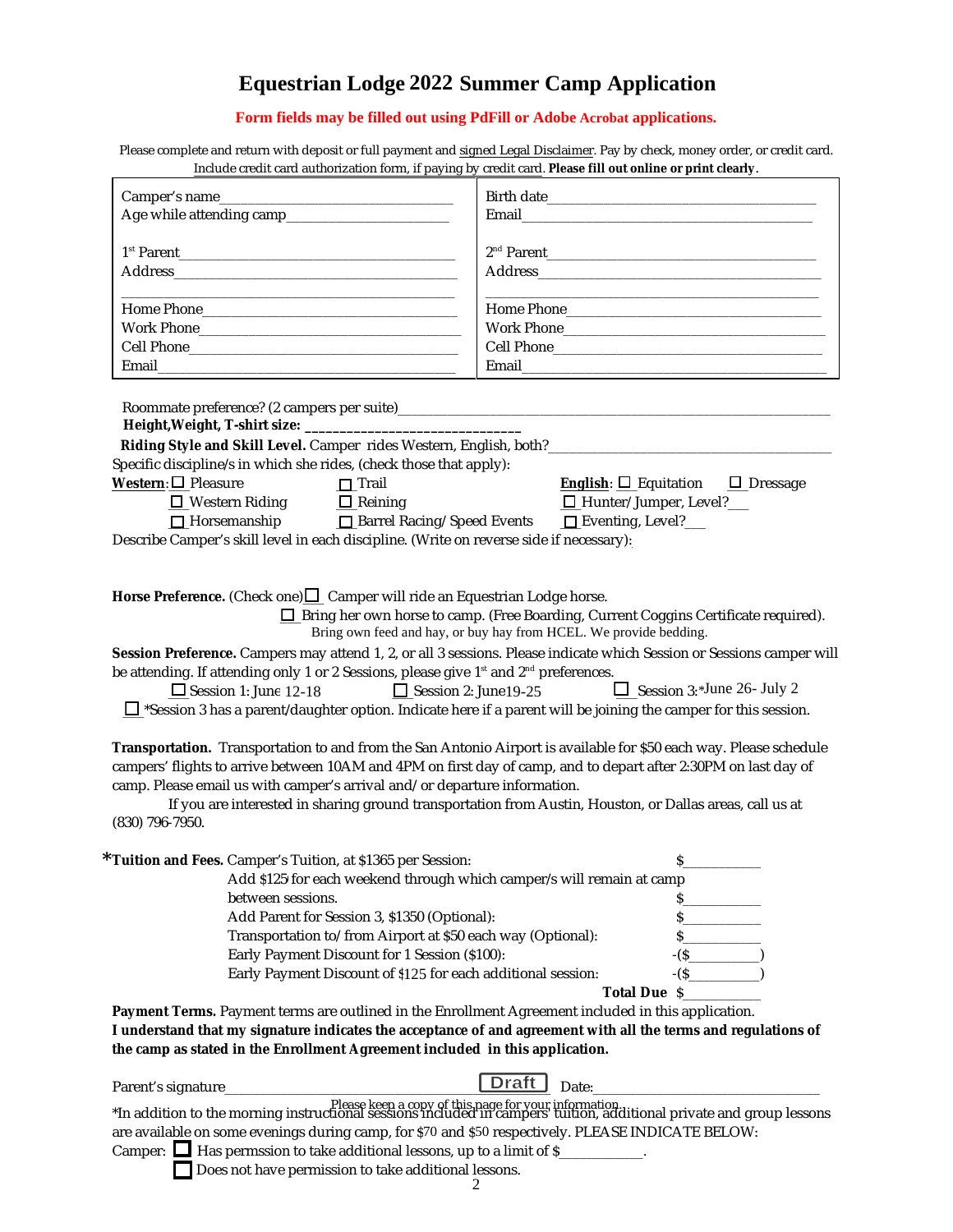## **Equestrian Lodge 2020 Summer Camp Application 2022**

# **Form fields may be filled out using PdFill or Adobe Acrobat applications.**

Please complete and return with deposit or full payment and signed Legal Disclaimer. Pay by check, money order, or credit card. Include credit card authorization form, if paying by credit card. **Please fill out online or print clearly**.

| $\frac{1}{2}$ increase event can a addition extends to this, in paying b                                                                                                                                                                                                                                                                                                                                                                                                                                             |                                                                                                                                                                                                        |
|----------------------------------------------------------------------------------------------------------------------------------------------------------------------------------------------------------------------------------------------------------------------------------------------------------------------------------------------------------------------------------------------------------------------------------------------------------------------------------------------------------------------|--------------------------------------------------------------------------------------------------------------------------------------------------------------------------------------------------------|
|                                                                                                                                                                                                                                                                                                                                                                                                                                                                                                                      |                                                                                                                                                                                                        |
|                                                                                                                                                                                                                                                                                                                                                                                                                                                                                                                      |                                                                                                                                                                                                        |
|                                                                                                                                                                                                                                                                                                                                                                                                                                                                                                                      |                                                                                                                                                                                                        |
|                                                                                                                                                                                                                                                                                                                                                                                                                                                                                                                      |                                                                                                                                                                                                        |
|                                                                                                                                                                                                                                                                                                                                                                                                                                                                                                                      |                                                                                                                                                                                                        |
|                                                                                                                                                                                                                                                                                                                                                                                                                                                                                                                      |                                                                                                                                                                                                        |
|                                                                                                                                                                                                                                                                                                                                                                                                                                                                                                                      |                                                                                                                                                                                                        |
|                                                                                                                                                                                                                                                                                                                                                                                                                                                                                                                      |                                                                                                                                                                                                        |
|                                                                                                                                                                                                                                                                                                                                                                                                                                                                                                                      |                                                                                                                                                                                                        |
|                                                                                                                                                                                                                                                                                                                                                                                                                                                                                                                      |                                                                                                                                                                                                        |
| Riding Style and Skill Level. Camper rides Western, English, both?__________________________________<br>Specific discipline/s in which she rides, (check those that apply):<br>Western: $\Box$ Pleasure<br>$\Box$ Trail<br>$\Box$ Western Riding $\Box$ Reining<br>□ Horsemanship □ Barrel Racing/ Speed Events<br>Describe Camper's skill level in each discipline. (Write on reverse side if necessary):                                                                                                           | <u>English:</u> $\Box$ Equitation $\Box$ Dressage<br>$\Box$ Hunter/ Jumper, Level? $\Box$<br>$\Box$ Eventing, Level? $\Box$                                                                            |
| Horse Preference. (Check one) $\Box$ Camper will ride an Equestrian Lodge horse.<br>Session Preference. Campers may attend 1, 2, or all 3 sessions. Please indicate which Session or Sessions camper will<br>be attending. If attending only 1 or 2 Sessions, please give 1 <sup>st</sup> and 2 <sup>nd</sup> preferences.<br>$\Box$ Session 2: June 19-25<br>$\Box$ Session 1: June 12-18<br>$\Box$ *Session 3 has a parent/daughter option. Indicate here if a parent will be joining the camper for this session. | <b>I</b> Bring her own horse to camp. (Free Boarding, Current Coggins Certificate required).<br>Bring own feed and hay, or buy hay from HCEL. We provide bedding.<br>$\Box$ Session 3:*June 26- July 2 |
| Transportation. Transportation to and from the San Antonio Airport is available for \$50 each way. Please schedule<br>campers' flights to arrive between 10AM and 4PM on first day of camp, and to depart after 2:30PM on last day of<br>camp. Please email us with camper's arrival and/or departure information.<br>(830) 796-7950.                                                                                                                                                                                | If you are interested in sharing ground transportation from Austin, Houston, or Dallas areas, call us at                                                                                               |
| Tuition and Fees. Camper's Tuition, at \$1365 per Session:                                                                                                                                                                                                                                                                                                                                                                                                                                                           | S.                                                                                                                                                                                                     |
| Add \$125 for each weekend through which camper/s will remain at camp                                                                                                                                                                                                                                                                                                                                                                                                                                                |                                                                                                                                                                                                        |
| between sessions.                                                                                                                                                                                                                                                                                                                                                                                                                                                                                                    |                                                                                                                                                                                                        |
| Add Parent for Session 3, \$1350 (Optional):                                                                                                                                                                                                                                                                                                                                                                                                                                                                         |                                                                                                                                                                                                        |
| Transportation to/ from Airport at \$50 each way (Optional):                                                                                                                                                                                                                                                                                                                                                                                                                                                         |                                                                                                                                                                                                        |
| Early Payment Discount for 1 Session (\$100):                                                                                                                                                                                                                                                                                                                                                                                                                                                                        |                                                                                                                                                                                                        |
| Early Payment Discount of \$125 for each additional session:                                                                                                                                                                                                                                                                                                                                                                                                                                                         | $-(S \qquad \qquad )$                                                                                                                                                                                  |
|                                                                                                                                                                                                                                                                                                                                                                                                                                                                                                                      | Total Due \$                                                                                                                                                                                           |
| Payment Terms. Payment terms are outlined in the Enrollment Agreement included in this application.                                                                                                                                                                                                                                                                                                                                                                                                                  |                                                                                                                                                                                                        |
| I understand that my signature indicates the acceptance of and agreement with all the terms and regulations of                                                                                                                                                                                                                                                                                                                                                                                                       |                                                                                                                                                                                                        |
| the camp as stated in the Enrollment Agreement included in this application.                                                                                                                                                                                                                                                                                                                                                                                                                                         |                                                                                                                                                                                                        |
|                                                                                                                                                                                                                                                                                                                                                                                                                                                                                                                      |                                                                                                                                                                                                        |
| Parent's signature_                                                                                                                                                                                                                                                                                                                                                                                                                                                                                                  | Date:                                                                                                                                                                                                  |
| Please keep a copy of this page for your information.<br>In addition to the morning instructional sessions included in campers tuition, additional private and group lessons*<br>are available on some evenings during camp, for \$70 and \$50 respectively. PLEASE INDICATE BELOW:<br>Camper: $\Box$ Has permssion to take additional lessons, up to a limit of \$                                                                                                                                                  |                                                                                                                                                                                                        |

Does not have permission to take additional lessons.

**\***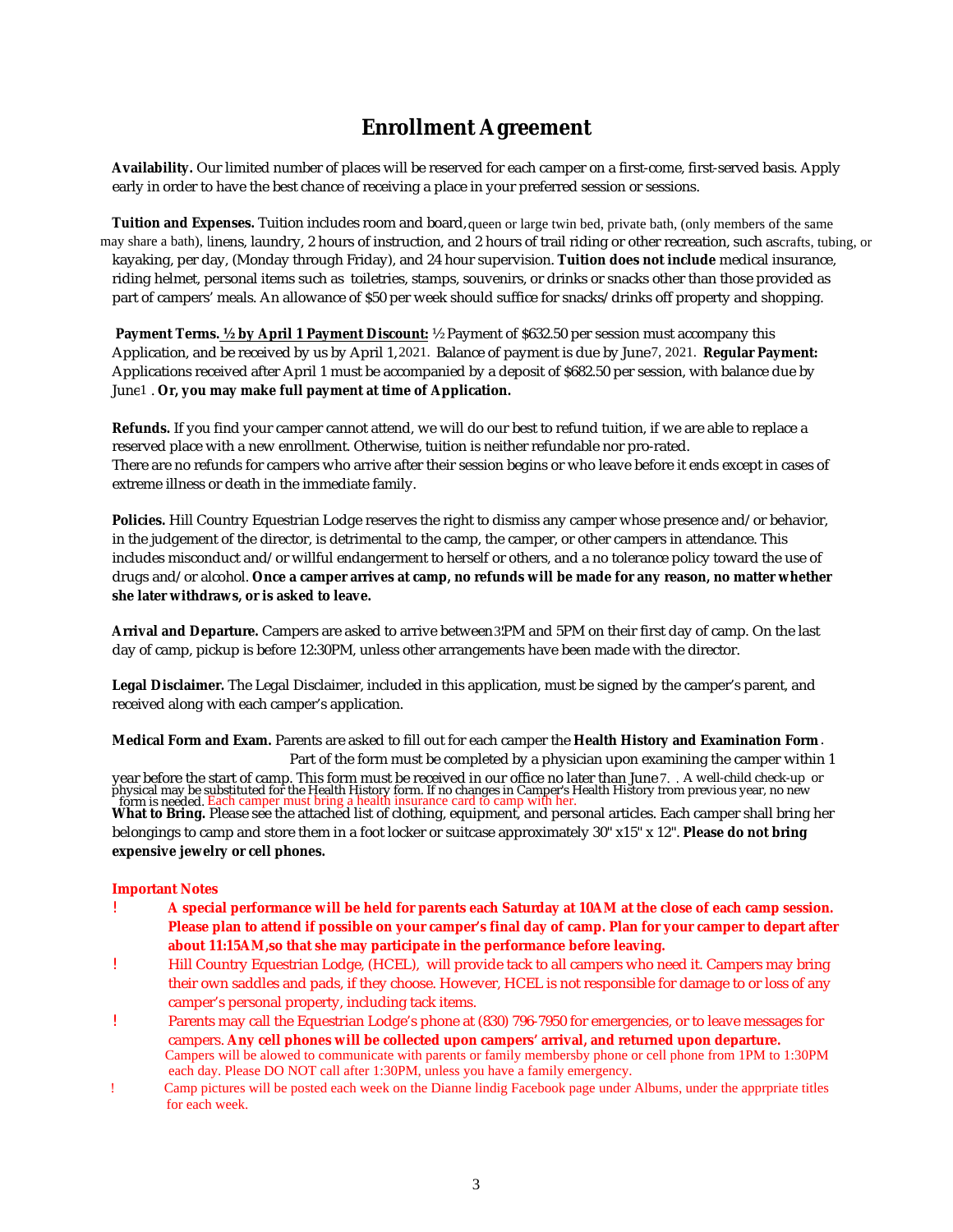# **Enrollment Agreement**

**Availability.** Our limited number of places will be reserved for each camper on a first-come, first-served basis. Apply early in order to have the best chance of receiving a place in your preferred session or sessions.

Tuition and Expenses. Tuition includes room and board, queen or large twin bed, private bath, (only members of the same may share a bath), linens, laundry, 2 hours of instruction, and 2 hours of trail riding or other recreation, such as $c$ rafts, tubing, or kayaking, per day, (Monday through Friday), and 24 hour supervision. **Tuition does not include** medical insurance, riding helmet, personal items such as toiletries, stamps, souvenirs, or drinks or snacks other than those provided as part of campers' meals. An allowance of \$50 per week should suffice for snacks/ drinks off property and shopping.

 **Payment Terms. ½ by April 1 Payment Discount:** ½ Payment of \$632.50 per session must accompany this Application, and be received by us by April 1, 2021. Balance of payment is due by June 7, 2021. Regular Payment: Applications received after April 1 must be accompanied by a deposit of \$682.50 per session, with balance due by June 1. Or, you may make full payment at time of Application. lication, and be received by us by April 1, 2021. Balance of payment is due by June7, 2021.<br>lications received after April 1 must be accompanied by a deposit of \$682.50 per session, w<br>1 . Or, you may make full payment at t

**Refunds.** If you find your camper cannot attend, we will do our best to refund tuition, if we are able to replace a reserved place with a new enrollment. Otherwise, tuition is neither refundable nor pro-rated. There are no refunds for campers who arrive after their session begins or who leave before it ends except in cases of extreme illness or death in the immediate family.

**Policies.** Hill Country Equestrian Lodge reserves the right to dismiss any camper whose presence and/ or behavior, in the judgement of the director, is detrimental to the camp, the camper, or other campers in attendance. This includes misconduct and/ or willful endangerment to herself or others, and a no tolerance policy toward the use of drugs and/ or alcohol. **Once a camper arrives at camp, no refunds will be made for any reason, no matter whether she later withdraws, or is asked to leave.**

**Arrival and Departure.** Campers are asked to arrive between 2PM and 5PM on their first day of camp. On the last 3day of camp, pickup is before 12:30PM, unless other arrangements have been made with the director.

**Legal Disclaimer.** The Legal Disclaimer, included in this application, must be signed by the camper's parent, and received along with each camper's application.

**Medical Form and Exam.** Parents are asked to fill out for each camper the **Health History and Examination Form** . Part of the form must be completed by a physician upon examining the camper within 1

year before the start of camp. This form must be received in our office no later than June 10. A well-child check-up or physical may be substituted for the Health History form. If no changes in Camper's Health History from previous year, no new<br>\_form is needed. <mark>Each camper must bring a health insurance card to camp with her</mark>. 7. Each camper must bring a health insurance card to camp with her.

What to Bring. Please see the attached list of clothing, equipment, and personal articles. Each camper shall bring her belongings to camp and store them in a foot locker or suitcase approximately 30" x15" x 12". **Please do not bring expensive jewelry or cell phones.**

#### **Important Notes**

- ! **A special performance will be held for parents each Saturday at 10AM at the close of each camp session. Please plan to attend if possible on your camper's final day of camp. Plan for your camper to depart after about 11:15AM,so that she may participate in the performance before leaving.**
- ! Hill Country Equestrian Lodge, (HCEL), will provide tack to all campers who need it. Campers may bring their own saddles and pads, if they choose. However, HCEL is not responsible for damage to or loss of any camper's personal property, including tack items.
- ! Parents may call the Equestrian Lodge's phone at (830) 796-7950 for emergencies, or to leave messages for campers. **Any cell phones will be collected upon campers' arrival, and returned upon departure.** Campers will be alowed to communicate with parents or family membersby phone or cell phone from 1PM to 1:30PM each day. Please DO NOT call after 1:30PM, unless you have a family emergency.
- ! Camp pictures will be posted each week on the Dianne lindig Facebook page under Albums, under the apprpriate titles for each week.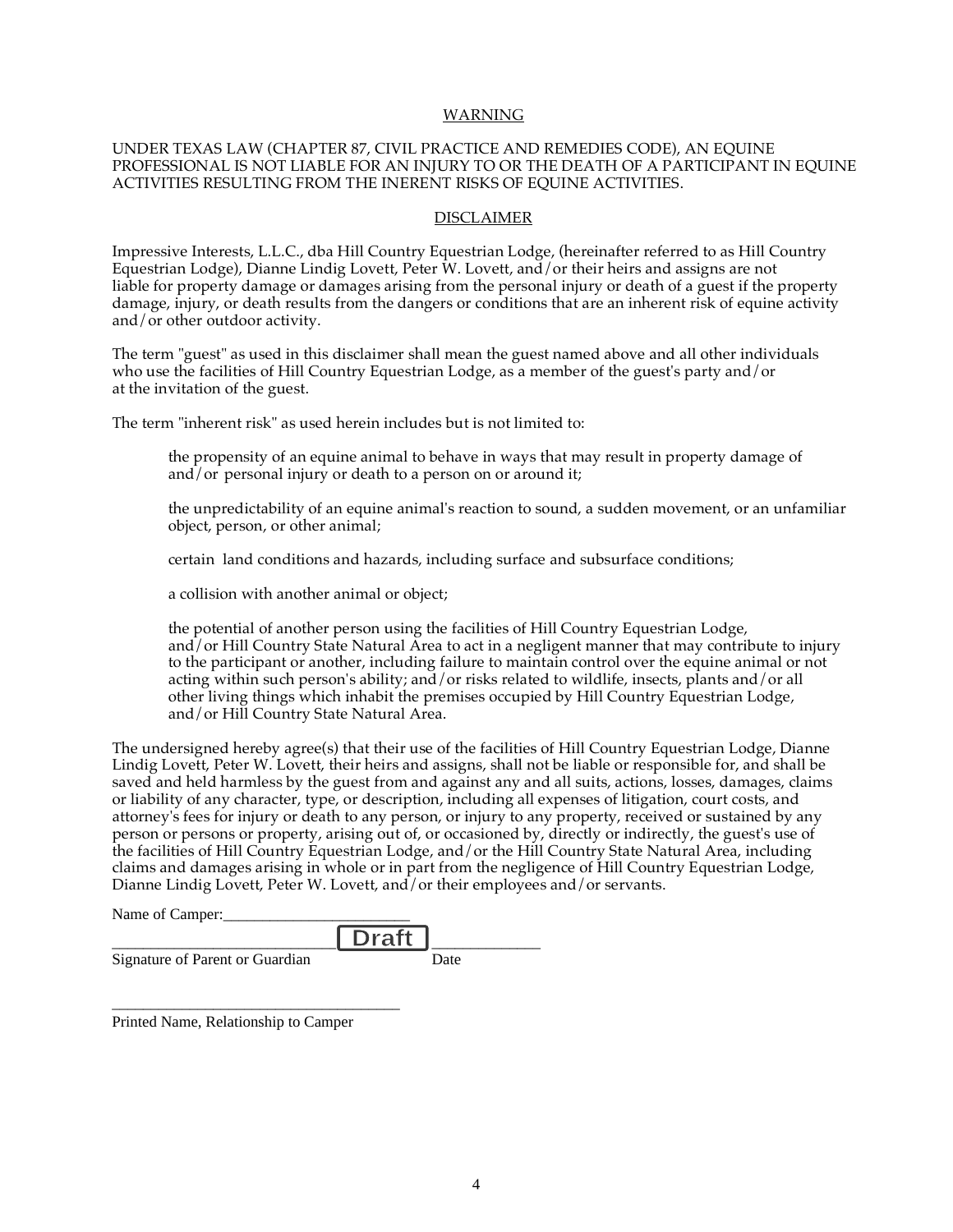#### WARNING

#### UNDER TEXAS LAW (CHAPTER 87, CIVIL PRACTICE AND REMEDIES CODE), AN EQUINE PROFESSIONAL IS NOT LIABLE FOR AN INJURY TO OR THE DEATH OF A PARTICIPANT IN EQUINE ACTIVITIES RESULTING FROM THE INERENT RISKS OF EQUINE ACTIVITIES.

#### DISCLAIMER

Impressive Interests, L.L.C., dba Hill Country Equestrian Lodge, (hereinafter referred to as Hill Country Equestrian Lodge), Dianne Lindig Lovett, Peter W. Lovett, and/or their heirs and assigns are not liable for property damage or damages arising from the personal injury or death of a guest if the property damage, injury, or death results from the dangers or conditions that are an inherent risk of equine activity and/or other outdoor activity.

The term "guest" as used in this disclaimer shall mean the guest named above and all other individuals who use the facilities of Hill Country Equestrian Lodge, as a member of the guest's party and/or at the invitation of the guest.

The term "inherent risk" as used herein includes but is not limited to:

the propensity of an equine animal to behave in ways that may result in property damage of and/ $\sigma$  personal injury or death to a person on or around it;

the unpredictability of an equine animal's reaction to sound, a sudden movement, or an unfamiliar object, person, or other animal;

certain land conditions and hazards, including surface and subsurface conditions;

a collision with another animal or object;

the potential of another person using the facilities of Hill Country Equestrian Lodge, and/or Hill Country State Natural Area to act in a negligent manner that may contribute to injury to the participant or another, including failure to maintain control over the equine animal or not acting within such person's ability; and/or risks related to wildlife, insects, plants and/or all other living things which inhabit the premises occupied by Hill Country Equestrian Lodge, and/or Hill Country State Natural Area.

The undersigned hereby agree(s) that their use of the facilities of Hill Country Equestrian Lodge, Dianne Lindig Lovett, Peter W. Lovett, their heirs and assigns, shall not be liable or responsible for, and shall be saved and held harmless by the guest from and against any and all suits, actions, losses, damages, claims or liability of any character, type, or description, including all expenses of litigation, court costs, and attorney's fees for injury or death to any person, or injury to any property, received or sustained by any person or persons or property, arising out of, or occasioned by, directly or indirectly, the guest's use of the facilities of Hill Country Equestrian Lodge, and/or the Hill Country State Natural Area, including claims and damages arising in whole or in part from the negligence of Hill Country Equestrian Lodge, Dianne Lindig Lovett, Peter W. Lovett, and/or their employees and/or servants.

\_\_\_\_\_\_\_\_\_\_\_\_\_\_

Name of Camper:

**Printed Bridters Parent or Guardian Date Date** \_\_\_\_\_\_\_\_\_\_\_\_\_\_\_\_\_\_\_\_\_\_\_\_\_\_\_\_\_\_\_\_\_\_\_\_\_

Date

**Names of Family or Party Members:** Printed Name, Relationship to Camper

\_\_\_\_\_\_\_\_\_\_\_\_\_\_\_\_\_\_\_\_\_\_\_\_\_\_\_\_\_\_\_\_\_\_\_\_\_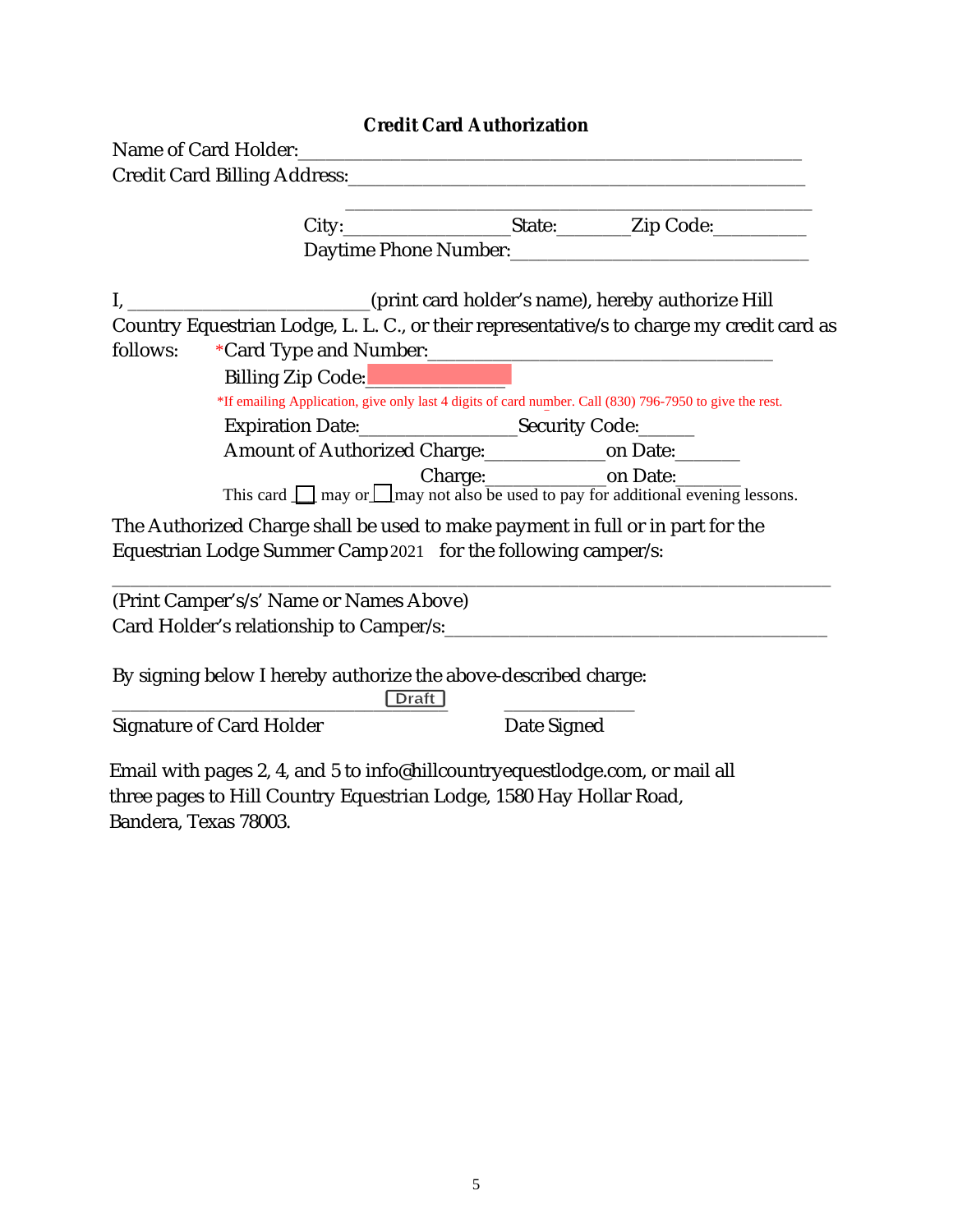|          |                                                                                                         | <b>Credit Card Authorization</b> |                                                                                            |
|----------|---------------------------------------------------------------------------------------------------------|----------------------------------|--------------------------------------------------------------------------------------------|
|          |                                                                                                         |                                  |                                                                                            |
|          |                                                                                                         |                                  |                                                                                            |
|          |                                                                                                         |                                  |                                                                                            |
|          |                                                                                                         |                                  |                                                                                            |
|          |                                                                                                         |                                  |                                                                                            |
|          | I, _________________________(print card holder's name), hereby authorize Hill                           |                                  |                                                                                            |
|          |                                                                                                         |                                  | Country Equestrian Lodge, L. L. C., or their representative/s to charge my credit card as  |
| follows: |                                                                                                         |                                  |                                                                                            |
|          | Billing Zip Code: National Assembly                                                                     |                                  |                                                                                            |
|          | *If emailing Application, give only last 4 digits of card number. Call (830) 796-7950 to give the rest. |                                  |                                                                                            |
|          |                                                                                                         |                                  |                                                                                            |
|          |                                                                                                         |                                  |                                                                                            |
|          |                                                                                                         |                                  | This card $\Box$ may or $\Box$ may not also be used to pay for additional evening lessons. |
|          | The Authorized Charge shall be used to make payment in full or in part for the                          |                                  |                                                                                            |
|          | Equestrian Lodge Summer Camp 2021 for the following camper/s:                                           |                                  |                                                                                            |
|          | (Print Camper's/s' Name or Names Above)                                                                 |                                  |                                                                                            |
|          |                                                                                                         |                                  |                                                                                            |
|          | By signing below I hereby authorize the above-described charge:                                         |                                  |                                                                                            |

Signature of Card Holder Date Signed

Email wit[h pages 2, 4, and 5 to info@hillcoun](mailto:info@hillcountryequestlodge.com,)tryequestlodge.com, or mail all three pages to Hill Country Equestrian Lodge, 1580 Hay Hollar Road, Bandera, Texas 78003.

\_\_\_\_\_\_\_\_\_\_\_\_\_\_\_\_\_\_\_\_\_\_\_\_\_\_\_\_\_\_\_\_\_\_\_\_ \_\_\_\_\_\_\_\_\_\_\_\_\_\_